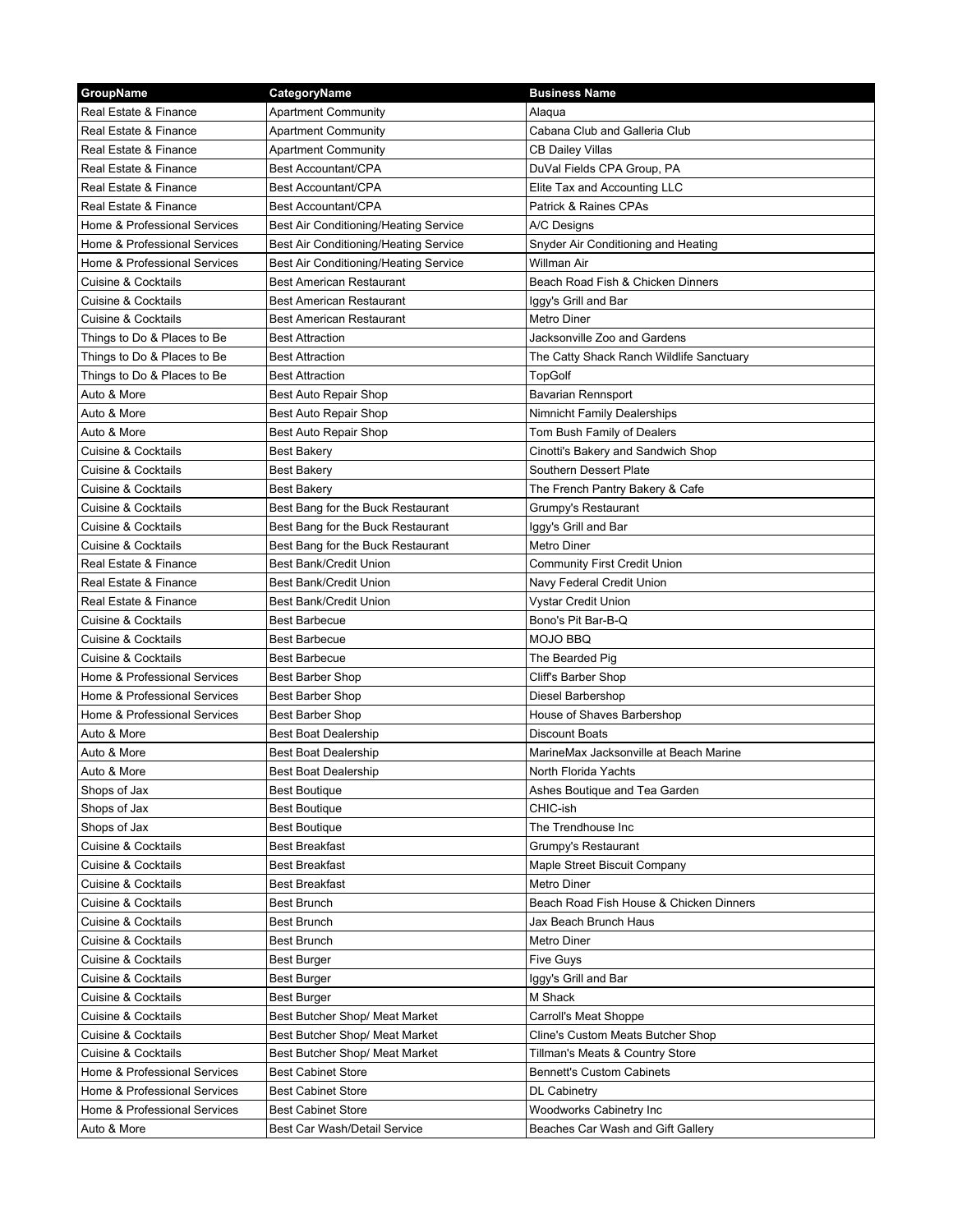| GroupName                                                    | CategoryName                          | <b>Business Name</b>                      |
|--------------------------------------------------------------|---------------------------------------|-------------------------------------------|
| Real Estate & Finance                                        | <b>Apartment Community</b>            | Alaqua                                    |
| Real Estate & Finance                                        | <b>Apartment Community</b>            | Cabana Club and Galleria Club             |
| Real Estate & Finance                                        | <b>Apartment Community</b>            | CB Dailey Villas                          |
| Real Estate & Finance                                        | Best Accountant/CPA                   | DuVal Fields CPA Group, PA                |
| Real Estate & Finance                                        | Best Accountant/CPA                   | Elite Tax and Accounting LLC              |
| Real Estate & Finance                                        | Best Accountant/CPA                   | Patrick & Raines CPAs                     |
| Home & Professional Services                                 | Best Air Conditioning/Heating Service | A/C Designs                               |
| Home & Professional Services                                 | Best Air Conditioning/Heating Service | Snyder Air Conditioning and Heating       |
| Home & Professional Services                                 | Best Air Conditioning/Heating Service | Willman Air                               |
| Cuisine & Cocktails                                          | <b>Best American Restaurant</b>       | Beach Road Fish & Chicken Dinners         |
| Cuisine & Cocktails                                          | <b>Best American Restaurant</b>       | Iggy's Grill and Bar                      |
| <b>Cuisine &amp; Cocktails</b>                               | <b>Best American Restaurant</b>       | Metro Diner                               |
| Things to Do & Places to Be                                  | <b>Best Attraction</b>                | Jacksonville Zoo and Gardens              |
| Things to Do & Places to Be                                  | <b>Best Attraction</b>                | The Catty Shack Ranch Wildlife Sanctuary  |
| Things to Do & Places to Be                                  | <b>Best Attraction</b>                | TopGolf                                   |
| Auto & More                                                  | Best Auto Repair Shop                 | <b>Bavarian Rennsport</b>                 |
| Auto & More                                                  | Best Auto Repair Shop                 | Nimnicht Family Dealerships               |
| Auto & More                                                  | Best Auto Repair Shop                 | Tom Bush Family of Dealers                |
| <b>Cuisine &amp; Cocktails</b>                               | <b>Best Bakery</b>                    | Cinotti's Bakery and Sandwich Shop        |
| <b>Cuisine &amp; Cocktails</b>                               | <b>Best Bakery</b>                    | Southern Dessert Plate                    |
| <b>Cuisine &amp; Cocktails</b>                               | <b>Best Bakery</b>                    | The French Pantry Bakery & Cafe           |
| <b>Cuisine &amp; Cocktails</b>                               | Best Bang for the Buck Restaurant     | Grumpy's Restaurant                       |
| <b>Cuisine &amp; Cocktails</b>                               | Best Bang for the Buck Restaurant     | Iggy's Grill and Bar                      |
| <b>Cuisine &amp; Cocktails</b>                               | Best Bang for the Buck Restaurant     | Metro Diner                               |
| Real Estate & Finance                                        | <b>Best Bank/Credit Union</b>         | <b>Community First Credit Union</b>       |
| Real Estate & Finance                                        | <b>Best Bank/Credit Union</b>         |                                           |
| Real Estate & Finance                                        | Best Bank/Credit Union                | Navy Federal Credit Union                 |
|                                                              | <b>Best Barbecue</b>                  | Vystar Credit Union<br>Bono's Pit Bar-B-Q |
| Cuisine & Cocktails<br><b>Cuisine &amp; Cocktails</b>        | <b>Best Barbecue</b>                  | MOJO BBQ                                  |
|                                                              |                                       |                                           |
| Cuisine & Cocktails                                          | <b>Best Barbecue</b>                  | The Bearded Pig                           |
| Home & Professional Services                                 | <b>Best Barber Shop</b>               | Cliff's Barber Shop                       |
| Home & Professional Services<br>Home & Professional Services | <b>Best Barber Shop</b>               | Diesel Barbershop                         |
|                                                              | <b>Best Barber Shop</b>               | House of Shaves Barbershop                |
| Auto & More                                                  | <b>Best Boat Dealership</b>           | Discount Boats                            |
| Auto & More                                                  | Best Boat Dealership                  | MarineMax Jacksonville at Beach Marine    |
| Auto & More                                                  | <b>Best Boat Dealership</b>           | North Florida Yachts                      |
| Shops of Jax                                                 | <b>Best Boutique</b>                  | Ashes Boutique and Tea Garden             |
| Shops of Jax                                                 | <b>Best Boutique</b>                  | CHIC-ish                                  |
| Shops of Jax                                                 | <b>Best Boutique</b>                  | The Trendhouse Inc                        |
| Cuisine & Cocktails                                          | <b>Best Breakfast</b>                 | Grumpy's Restaurant                       |
| <b>Cuisine &amp; Cocktails</b>                               | <b>Best Breakfast</b>                 | Maple Street Biscuit Company              |
| <b>Cuisine &amp; Cocktails</b>                               | <b>Best Breakfast</b>                 | Metro Diner                               |
| <b>Cuisine &amp; Cocktails</b>                               | <b>Best Brunch</b>                    | Beach Road Fish House & Chicken Dinners   |
| <b>Cuisine &amp; Cocktails</b>                               | <b>Best Brunch</b>                    | Jax Beach Brunch Haus                     |
| <b>Cuisine &amp; Cocktails</b>                               | <b>Best Brunch</b>                    | Metro Diner                               |
| Cuisine & Cocktails                                          | Best Burger                           | <b>Five Guys</b>                          |
| Cuisine & Cocktails                                          | Best Burger                           | Iggy's Grill and Bar                      |
| Cuisine & Cocktails                                          | <b>Best Burger</b>                    | M Shack                                   |
| Cuisine & Cocktails                                          | Best Butcher Shop/ Meat Market        | Carroll's Meat Shoppe                     |
| Cuisine & Cocktails                                          | Best Butcher Shop/ Meat Market        | Cline's Custom Meats Butcher Shop         |
| Cuisine & Cocktails                                          | Best Butcher Shop/ Meat Market        | Tillman's Meats & Country Store           |
| Home & Professional Services                                 | <b>Best Cabinet Store</b>             | <b>Bennett's Custom Cabinets</b>          |
| Home & Professional Services                                 | <b>Best Cabinet Store</b>             | DL Cabinetry                              |
| Home & Professional Services                                 | <b>Best Cabinet Store</b>             | Woodworks Cabinetry Inc                   |
| Auto & More                                                  | Best Car Wash/Detail Service          | Beaches Car Wash and Gift Gallery         |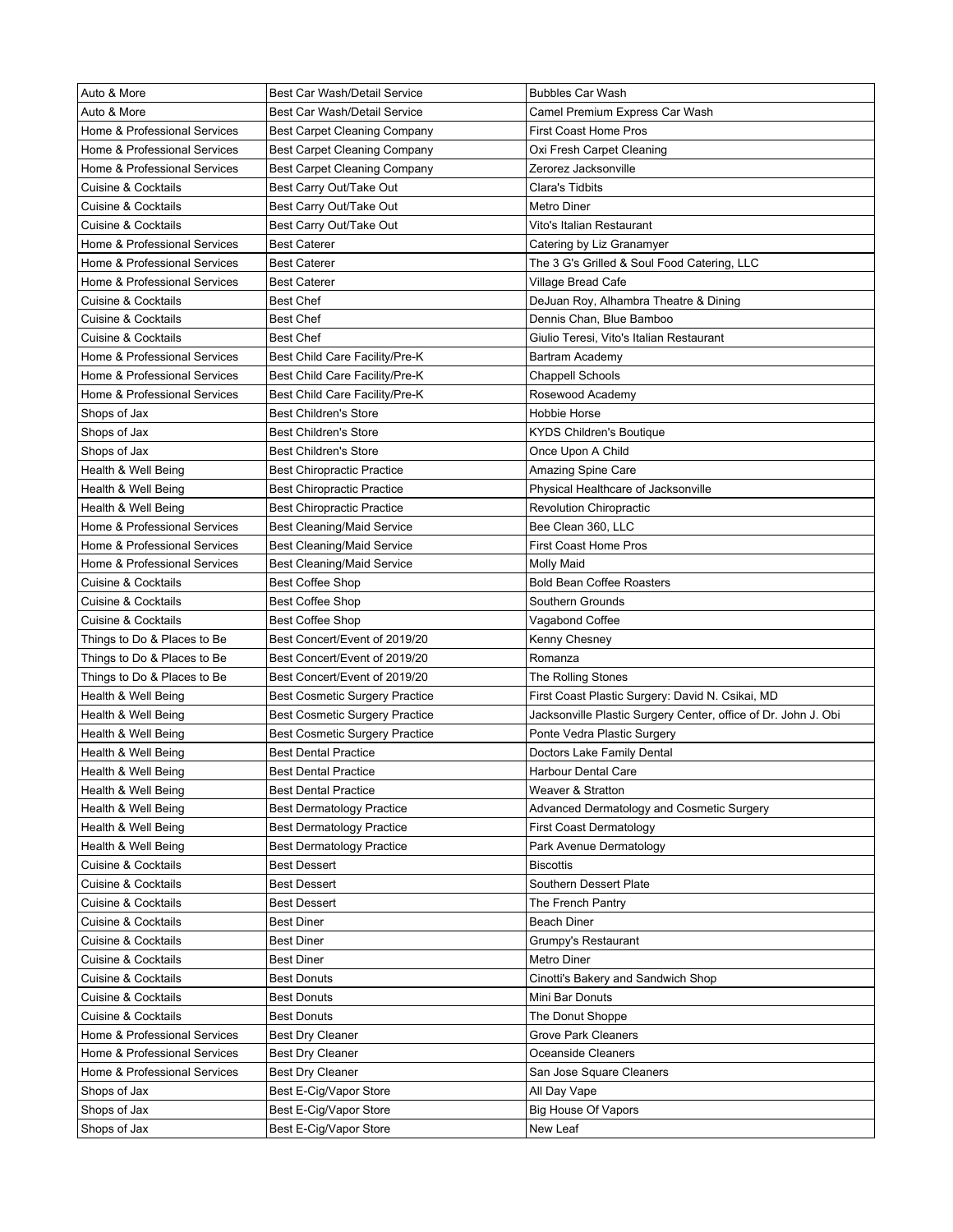| Auto & More                    | Best Car Wash/Detail Service          | <b>Bubbles Car Wash</b>                                        |
|--------------------------------|---------------------------------------|----------------------------------------------------------------|
| Auto & More                    | Best Car Wash/Detail Service          | Camel Premium Express Car Wash                                 |
| Home & Professional Services   | Best Carpet Cleaning Company          | First Coast Home Pros                                          |
| Home & Professional Services   | Best Carpet Cleaning Company          | Oxi Fresh Carpet Cleaning                                      |
| Home & Professional Services   | Best Carpet Cleaning Company          | Zerorez Jacksonville                                           |
| <b>Cuisine &amp; Cocktails</b> | Best Carry Out/Take Out               | Clara's Tidbits                                                |
| <b>Cuisine &amp; Cocktails</b> | Best Carry Out/Take Out               | Metro Diner                                                    |
| <b>Cuisine &amp; Cocktails</b> | Best Carry Out/Take Out               | Vito's Italian Restaurant                                      |
| Home & Professional Services   | <b>Best Caterer</b>                   | Catering by Liz Granamyer                                      |
| Home & Professional Services   | <b>Best Caterer</b>                   | The 3 G's Grilled & Soul Food Catering, LLC                    |
| Home & Professional Services   | <b>Best Caterer</b>                   | Village Bread Cafe                                             |
| Cuisine & Cocktails            | <b>Best Chef</b>                      | DeJuan Roy, Alhambra Theatre & Dining                          |
| <b>Cuisine &amp; Cocktails</b> | <b>Best Chef</b>                      | Dennis Chan, Blue Bamboo                                       |
| <b>Cuisine &amp; Cocktails</b> | <b>Best Chef</b>                      | Giulio Teresi, Vito's Italian Restaurant                       |
| Home & Professional Services   | Best Child Care Facility/Pre-K        | Bartram Academy                                                |
| Home & Professional Services   | Best Child Care Facility/Pre-K        | Chappell Schools                                               |
| Home & Professional Services   | Best Child Care Facility/Pre-K        | Rosewood Academy                                               |
| Shops of Jax                   | <b>Best Children's Store</b>          | Hobbie Horse                                                   |
| Shops of Jax                   | <b>Best Children's Store</b>          | KYDS Children's Boutique                                       |
| Shops of Jax                   | <b>Best Children's Store</b>          | Once Upon A Child                                              |
| Health & Well Being            | <b>Best Chiropractic Practice</b>     | Amazing Spine Care                                             |
| Health & Well Being            | <b>Best Chiropractic Practice</b>     | Physical Healthcare of Jacksonville                            |
| Health & Well Being            | <b>Best Chiropractic Practice</b>     | <b>Revolution Chiropractic</b>                                 |
| Home & Professional Services   | <b>Best Cleaning/Maid Service</b>     | Bee Clean 360, LLC                                             |
| Home & Professional Services   | <b>Best Cleaning/Maid Service</b>     | First Coast Home Pros                                          |
| Home & Professional Services   | <b>Best Cleaning/Maid Service</b>     | Molly Maid                                                     |
| Cuisine & Cocktails            | <b>Best Coffee Shop</b>               | <b>Bold Bean Coffee Roasters</b>                               |
| Cuisine & Cocktails            | <b>Best Coffee Shop</b>               | Southern Grounds                                               |
| Cuisine & Cocktails            | <b>Best Coffee Shop</b>               | Vagabond Coffee                                                |
| Things to Do & Places to Be    | Best Concert/Event of 2019/20         | Kenny Chesney                                                  |
| Things to Do & Places to Be    | Best Concert/Event of 2019/20         | Romanza                                                        |
| Things to Do & Places to Be    | Best Concert/Event of 2019/20         | The Rolling Stones                                             |
| Health & Well Being            | <b>Best Cosmetic Surgery Practice</b> | First Coast Plastic Surgery: David N. Csikai, MD               |
| Health & Well Being            | <b>Best Cosmetic Surgery Practice</b> | Jacksonville Plastic Surgery Center, office of Dr. John J. Obi |
| Health & Well Being            | <b>Best Cosmetic Surgery Practice</b> | Ponte Vedra Plastic Surgery                                    |
| Health & Well Being            | <b>Best Dental Practice</b>           | Doctors Lake Family Dental                                     |
| Health & Well Being            | <b>Best Dental Practice</b>           | <b>Harbour Dental Care</b>                                     |
| Health & Well Being            | <b>Best Dental Practice</b>           | Weaver & Stratton                                              |
| Health & Well Being            | <b>Best Dermatology Practice</b>      | Advanced Dermatology and Cosmetic Surgery                      |
| Health & Well Being            | <b>Best Dermatology Practice</b>      | First Coast Dermatology                                        |
| Health & Well Being            | <b>Best Dermatology Practice</b>      | Park Avenue Dermatology                                        |
| <b>Cuisine &amp; Cocktails</b> | <b>Best Dessert</b>                   | <b>Biscottis</b>                                               |
| Cuisine & Cocktails            | <b>Best Dessert</b>                   | Southern Dessert Plate                                         |
| Cuisine & Cocktails            | <b>Best Dessert</b>                   | The French Pantry                                              |
| Cuisine & Cocktails            | <b>Best Diner</b>                     | Beach Diner                                                    |
| Cuisine & Cocktails            | <b>Best Diner</b>                     | Grumpy's Restaurant                                            |
| Cuisine & Cocktails            | <b>Best Diner</b>                     | Metro Diner                                                    |
| Cuisine & Cocktails            | <b>Best Donuts</b>                    | Cinotti's Bakery and Sandwich Shop                             |
| Cuisine & Cocktails            | <b>Best Donuts</b>                    | Mini Bar Donuts                                                |
| Cuisine & Cocktails            | <b>Best Donuts</b>                    | The Donut Shoppe                                               |
| Home & Professional Services   | <b>Best Dry Cleaner</b>               | Grove Park Cleaners                                            |
| Home & Professional Services   | <b>Best Dry Cleaner</b>               | Oceanside Cleaners                                             |
|                                |                                       |                                                                |
| Home & Professional Services   | <b>Best Dry Cleaner</b>               | San Jose Square Cleaners                                       |
| Shops of Jax                   | Best E-Cig/Vapor Store                | All Day Vape                                                   |
| Shops of Jax                   | Best E-Cig/Vapor Store                | Big House Of Vapors                                            |
| Shops of Jax                   | Best E-Cig/Vapor Store                | New Leaf                                                       |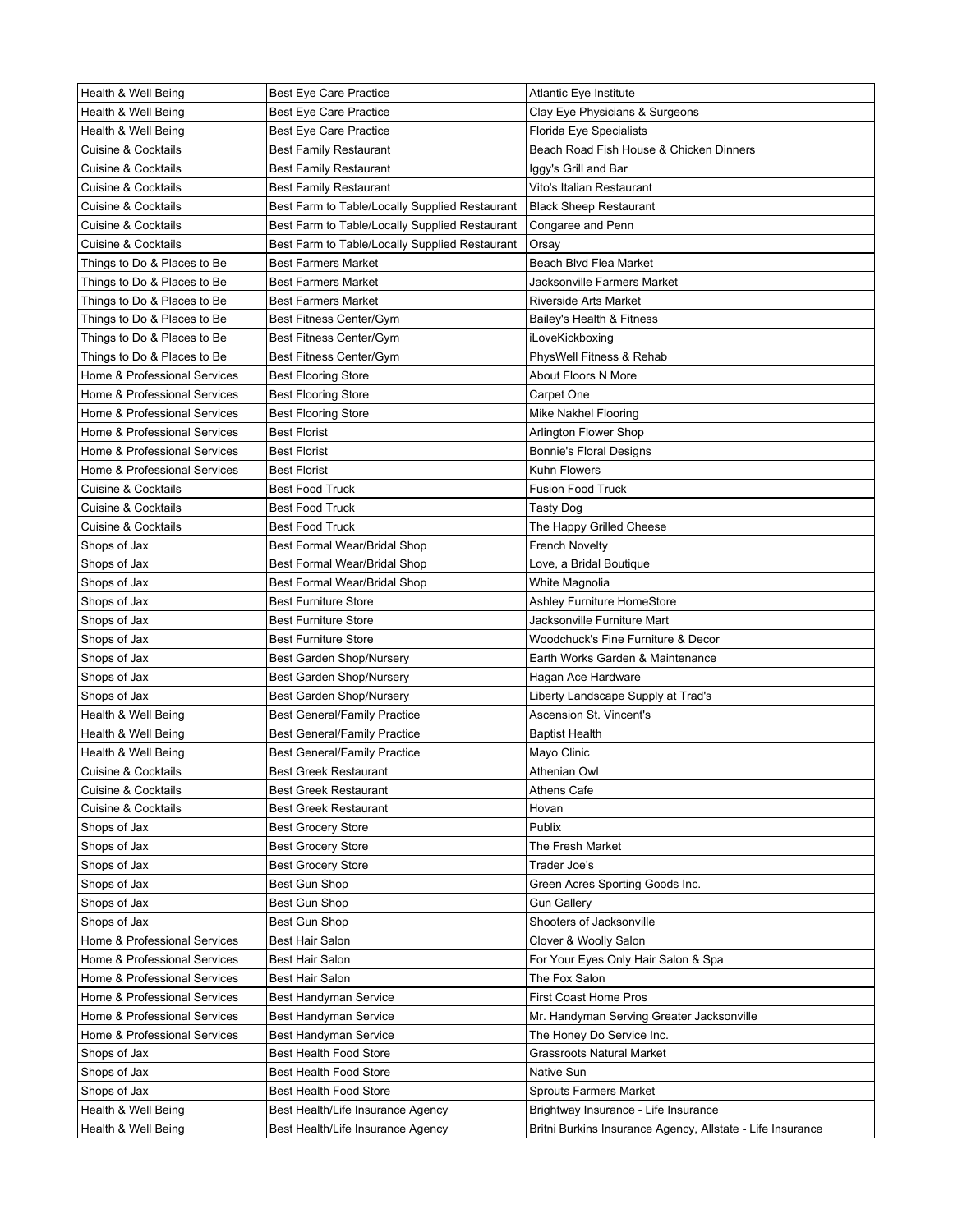| Health & Well Being            | <b>Best Eye Care Practice</b>                  | Atlantic Eye Institute                                     |
|--------------------------------|------------------------------------------------|------------------------------------------------------------|
| Health & Well Being            | <b>Best Eye Care Practice</b>                  | Clay Eye Physicians & Surgeons                             |
| Health & Well Being            | <b>Best Eye Care Practice</b>                  | Florida Eye Specialists                                    |
| Cuisine & Cocktails            | <b>Best Family Restaurant</b>                  | Beach Road Fish House & Chicken Dinners                    |
| Cuisine & Cocktails            | <b>Best Family Restaurant</b>                  | lggy's Grill and Bar                                       |
| Cuisine & Cocktails            | <b>Best Family Restaurant</b>                  | Vito's Italian Restaurant                                  |
| Cuisine & Cocktails            | Best Farm to Table/Locally Supplied Restaurant | <b>Black Sheep Restaurant</b>                              |
| Cuisine & Cocktails            | Best Farm to Table/Locally Supplied Restaurant | Congaree and Penn                                          |
| Cuisine & Cocktails            | Best Farm to Table/Locally Supplied Restaurant | Orsay                                                      |
| Things to Do & Places to Be    | <b>Best Farmers Market</b>                     | Beach Blvd Flea Market                                     |
| Things to Do & Places to Be    | <b>Best Farmers Market</b>                     | Jacksonville Farmers Market                                |
| Things to Do & Places to Be    | <b>Best Farmers Market</b>                     | <b>Riverside Arts Market</b>                               |
| Things to Do & Places to Be    | Best Fitness Center/Gym                        | Bailey's Health & Fitness                                  |
| Things to Do & Places to Be    | Best Fitness Center/Gym                        | iLoveKickboxing                                            |
| Things to Do & Places to Be    | Best Fitness Center/Gym                        | PhysWell Fitness & Rehab                                   |
| Home & Professional Services   | <b>Best Flooring Store</b>                     | About Floors N More                                        |
| Home & Professional Services   | <b>Best Flooring Store</b>                     | Carpet One                                                 |
| Home & Professional Services   | <b>Best Flooring Store</b>                     | Mike Nakhel Flooring                                       |
| Home & Professional Services   | <b>Best Florist</b>                            | Arlington Flower Shop                                      |
| Home & Professional Services   | <b>Best Florist</b>                            | <b>Bonnie's Floral Designs</b>                             |
| Home & Professional Services   | <b>Best Florist</b>                            | Kuhn Flowers                                               |
| <b>Cuisine &amp; Cocktails</b> | <b>Best Food Truck</b>                         | <b>Fusion Food Truck</b>                                   |
| <b>Cuisine &amp; Cocktails</b> | <b>Best Food Truck</b>                         | Tasty Dog                                                  |
| <b>Cuisine &amp; Cocktails</b> | <b>Best Food Truck</b>                         | The Happy Grilled Cheese                                   |
| Shops of Jax                   | Best Formal Wear/Bridal Shop                   | <b>French Novelty</b>                                      |
| Shops of Jax                   | Best Formal Wear/Bridal Shop                   | Love, a Bridal Boutique                                    |
| Shops of Jax                   | Best Formal Wear/Bridal Shop                   | White Magnolia                                             |
| Shops of Jax                   | <b>Best Furniture Store</b>                    | Ashley Furniture HomeStore                                 |
| Shops of Jax                   | <b>Best Furniture Store</b>                    | Jacksonville Furniture Mart                                |
| Shops of Jax                   | <b>Best Furniture Store</b>                    | Woodchuck's Fine Furniture & Decor                         |
| Shops of Jax                   | Best Garden Shop/Nursery                       | Earth Works Garden & Maintenance                           |
| Shops of Jax                   | Best Garden Shop/Nursery                       | Hagan Ace Hardware                                         |
| Shops of Jax                   | Best Garden Shop/Nursery                       | Liberty Landscape Supply at Trad's                         |
| Health & Well Being            | <b>Best General/Family Practice</b>            | Ascension St. Vincent's                                    |
| Health & Well Being            | <b>Best General/Family Practice</b>            | Baptist Health                                             |
| Health & Well Being            | <b>Best General/Family Practice</b>            | Mayo Clinic                                                |
| Cuisine & Cocktails            | <b>Best Greek Restaurant</b>                   | Athenian Owl                                               |
| <b>Cuisine &amp; Cocktails</b> | <b>Best Greek Restaurant</b>                   | Athens Cafe                                                |
| <b>Cuisine &amp; Cocktails</b> | <b>Best Greek Restaurant</b>                   | Hovan                                                      |
| Shops of Jax                   | <b>Best Grocery Store</b>                      | Publix                                                     |
| Shops of Jax                   | <b>Best Grocery Store</b>                      | The Fresh Market                                           |
| Shops of Jax                   | <b>Best Grocery Store</b>                      | Trader Joe's                                               |
| Shops of Jax                   | Best Gun Shop                                  | Green Acres Sporting Goods Inc.                            |
| Shops of Jax                   | Best Gun Shop                                  | <b>Gun Gallery</b>                                         |
| Shops of Jax                   | Best Gun Shop                                  | Shooters of Jacksonville                                   |
| Home & Professional Services   | Best Hair Salon                                | Clover & Woolly Salon                                      |
| Home & Professional Services   | <b>Best Hair Salon</b>                         | For Your Eyes Only Hair Salon & Spa                        |
| Home & Professional Services   | Best Hair Salon                                | The Fox Salon                                              |
| Home & Professional Services   | Best Handyman Service                          | First Coast Home Pros                                      |
| Home & Professional Services   | Best Handyman Service                          | Mr. Handyman Serving Greater Jacksonville                  |
| Home & Professional Services   | Best Handyman Service                          | The Honey Do Service Inc.                                  |
| Shops of Jax                   | Best Health Food Store                         | Grassroots Natural Market                                  |
| Shops of Jax                   | Best Health Food Store                         | Native Sun                                                 |
| Shops of Jax                   | Best Health Food Store                         | Sprouts Farmers Market                                     |
| Health & Well Being            | Best Health/Life Insurance Agency              | Brightway Insurance - Life Insurance                       |
| Health & Well Being            | Best Health/Life Insurance Agency              | Britni Burkins Insurance Agency, Allstate - Life Insurance |
|                                |                                                |                                                            |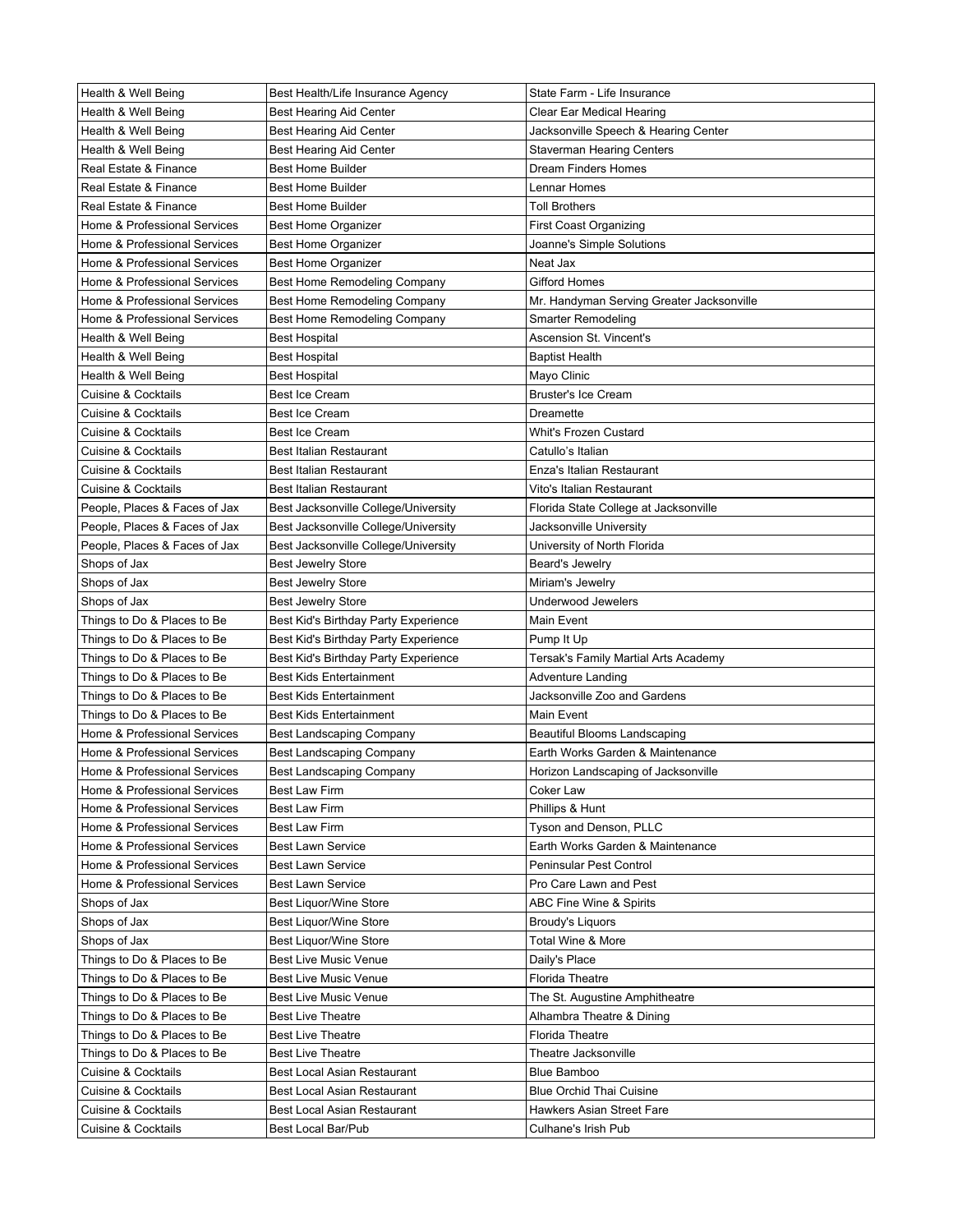| Health & Well Being            | Best Health/Life Insurance Agency                 | State Farm - Life Insurance                      |
|--------------------------------|---------------------------------------------------|--------------------------------------------------|
| Health & Well Being            | Best Hearing Aid Center                           | Clear Ear Medical Hearing                        |
| Health & Well Being            | Best Hearing Aid Center                           | Jacksonville Speech & Hearing Center             |
| Health & Well Being            | Best Hearing Aid Center                           | Staverman Hearing Centers                        |
| Real Estate & Finance          | <b>Best Home Builder</b>                          | <b>Dream Finders Homes</b>                       |
| Real Estate & Finance          | <b>Best Home Builder</b>                          | Lennar Homes                                     |
| Real Estate & Finance          | <b>Best Home Builder</b>                          | <b>Toll Brothers</b>                             |
| Home & Professional Services   | <b>Best Home Organizer</b>                        | First Coast Organizing                           |
| Home & Professional Services   | <b>Best Home Organizer</b>                        | Joanne's Simple Solutions                        |
| Home & Professional Services   | <b>Best Home Organizer</b>                        | Neat Jax                                         |
| Home & Professional Services   | Best Home Remodeling Company                      | Gifford Homes                                    |
| Home & Professional Services   | Best Home Remodeling Company                      | Mr. Handyman Serving Greater Jacksonville        |
| Home & Professional Services   | Best Home Remodeling Company                      | Smarter Remodeling                               |
| Health & Well Being            | <b>Best Hospital</b>                              | Ascension St. Vincent's                          |
| Health & Well Being            | <b>Best Hospital</b>                              | <b>Baptist Health</b>                            |
| Health & Well Being            | <b>Best Hospital</b>                              | Mayo Clinic                                      |
| Cuisine & Cocktails            | <b>Best Ice Cream</b>                             | <b>Bruster's Ice Cream</b>                       |
| <b>Cuisine &amp; Cocktails</b> | <b>Best Ice Cream</b>                             | Dreamette                                        |
| Cuisine & Cocktails            | <b>Best Ice Cream</b>                             | Whit's Frozen Custard                            |
| <b>Cuisine &amp; Cocktails</b> | <b>Best Italian Restaurant</b>                    | Catullo's Italian                                |
| <b>Cuisine &amp; Cocktails</b> | <b>Best Italian Restaurant</b>                    | Enza's Italian Restaurant                        |
| <b>Cuisine &amp; Cocktails</b> | <b>Best Italian Restaurant</b>                    | Vito's Italian Restaurant                        |
| People, Places & Faces of Jax  | Best Jacksonville College/University              | Florida State College at Jacksonville            |
| People, Places & Faces of Jax  | Best Jacksonville College/University              | Jacksonville University                          |
| People, Places & Faces of Jax  | Best Jacksonville College/University              | University of North Florida                      |
| Shops of Jax                   | <b>Best Jewelry Store</b>                         | Beard's Jewelry                                  |
| Shops of Jax                   | <b>Best Jewelry Store</b>                         | Miriam's Jewelry                                 |
| Shops of Jax                   | <b>Best Jewelry Store</b>                         | Underwood Jewelers                               |
| Things to Do & Places to Be    | Best Kid's Birthday Party Experience              | Main Event                                       |
| Things to Do & Places to Be    | Best Kid's Birthday Party Experience              | Pump It Up                                       |
| Things to Do & Places to Be    | Best Kid's Birthday Party Experience              | Tersak's Family Martial Arts Academy             |
| Things to Do & Places to Be    | <b>Best Kids Entertainment</b>                    | Adventure Landing                                |
| Things to Do & Places to Be    | <b>Best Kids Entertainment</b>                    | Jacksonville Zoo and Gardens                     |
| Things to Do & Places to Be    | <b>Best Kids Entertainment</b>                    | Main Event                                       |
| Home & Professional Services   | Best Landscaping Company                          | Beautiful Blooms Landscaping                     |
| Home & Professional Services   | <b>Best Landscaping Company</b>                   | Earth Works Garden & Maintenance                 |
| Home & Professional Services   | Best Landscaping Company                          | Horizon Landscaping of Jacksonville              |
| Home & Professional Services   | Best Law Firm                                     | Coker Law                                        |
| Home & Professional Services   | <b>Best Law Firm</b>                              | Phillips & Hunt                                  |
| Home & Professional Services   | <b>Best Law Firm</b>                              | Tyson and Denson, PLLC                           |
| Home & Professional Services   | <b>Best Lawn Service</b>                          | Earth Works Garden & Maintenance                 |
| Home & Professional Services   | <b>Best Lawn Service</b>                          | Peninsular Pest Control                          |
| Home & Professional Services   | <b>Best Lawn Service</b>                          | Pro Care Lawn and Pest                           |
| Shops of Jax                   | Best Liquor/Wine Store                            | ABC Fine Wine & Spirits                          |
| Shops of Jax                   | Best Liquor/Wine Store                            | Broudy's Liquors                                 |
| Shops of Jax                   | Best Liquor/Wine Store                            | Total Wine & More                                |
| Things to Do & Places to Be    | <b>Best Live Music Venue</b>                      | Daily's Place                                    |
| Things to Do & Places to Be    | <b>Best Live Music Venue</b>                      | <b>Florida Theatre</b>                           |
| Things to Do & Places to Be    | <b>Best Live Music Venue</b>                      | The St. Augustine Amphitheatre                   |
| Things to Do & Places to Be    | <b>Best Live Theatre</b>                          | Alhambra Theatre & Dining                        |
| Things to Do & Places to Be    | <b>Best Live Theatre</b>                          | <b>Florida Theatre</b>                           |
| Things to Do & Places to Be    | <b>Best Live Theatre</b>                          | Theatre Jacksonville                             |
| Cuisine & Cocktails            | Best Local Asian Restaurant                       | <b>Blue Bamboo</b>                               |
| Cuisine & Cocktails            | Best Local Asian Restaurant                       | <b>Blue Orchid Thai Cuisine</b>                  |
| Cuisine & Cocktails            |                                                   |                                                  |
|                                |                                                   |                                                  |
| Cuisine & Cocktails            | Best Local Asian Restaurant<br>Best Local Bar/Pub | Hawkers Asian Street Fare<br>Culhane's Irish Pub |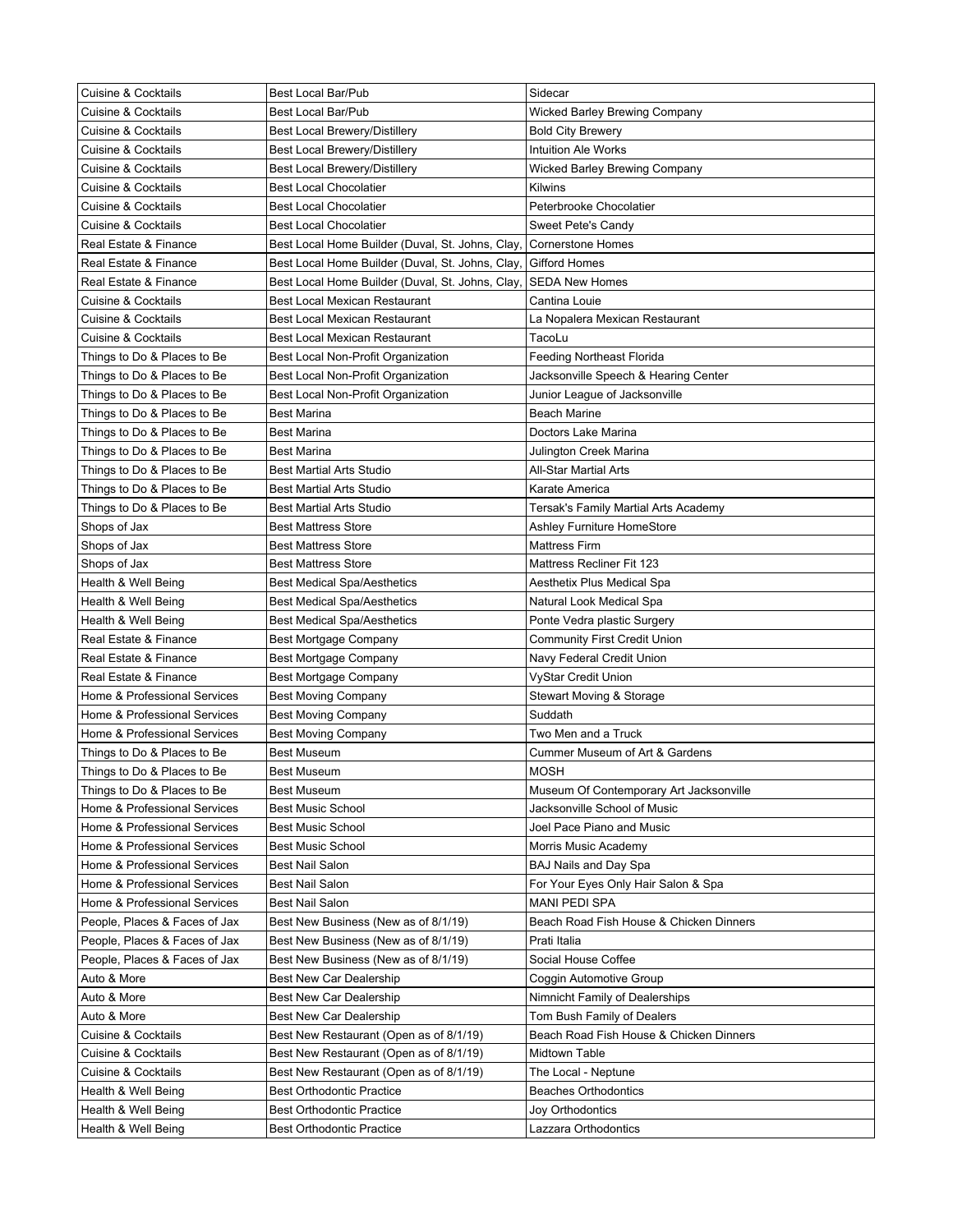| <b>Cuisine &amp; Cocktails</b> | <b>Best Local Bar/Pub</b>                        | Sidecar                                 |
|--------------------------------|--------------------------------------------------|-----------------------------------------|
| Cuisine & Cocktails            | <b>Best Local Bar/Pub</b>                        | Wicked Barley Brewing Company           |
| Cuisine & Cocktails            | Best Local Brewery/Distillery                    | <b>Bold City Brewery</b>                |
| Cuisine & Cocktails            | Best Local Brewery/Distillery                    | <b>Intuition Ale Works</b>              |
| Cuisine & Cocktails            | Best Local Brewery/Distillery                    | Wicked Barley Brewing Company           |
| Cuisine & Cocktails            | <b>Best Local Chocolatier</b>                    | Kilwins                                 |
| Cuisine & Cocktails            | <b>Best Local Chocolatier</b>                    | Peterbrooke Chocolatier                 |
| <b>Cuisine &amp; Cocktails</b> | <b>Best Local Chocolatier</b>                    | Sweet Pete's Candy                      |
| Real Estate & Finance          | Best Local Home Builder (Duval, St. Johns, Clay, | <b>Cornerstone Homes</b>                |
| Real Estate & Finance          | Best Local Home Builder (Duval, St. Johns, Clay, | <b>Gifford Homes</b>                    |
| Real Estate & Finance          | Best Local Home Builder (Duval, St. Johns, Clay, | <b>SEDA New Homes</b>                   |
| <b>Cuisine &amp; Cocktails</b> | <b>Best Local Mexican Restaurant</b>             | Cantina Louie                           |
| <b>Cuisine &amp; Cocktails</b> | Best Local Mexican Restaurant                    | La Nopalera Mexican Restaurant          |
| <b>Cuisine &amp; Cocktails</b> | Best Local Mexican Restaurant                    | TacoLu                                  |
| Things to Do & Places to Be    | Best Local Non-Profit Organization               | <b>Feeding Northeast Florida</b>        |
| Things to Do & Places to Be    | Best Local Non-Profit Organization               | Jacksonville Speech & Hearing Center    |
| Things to Do & Places to Be    | Best Local Non-Profit Organization               | Junior League of Jacksonville           |
| Things to Do & Places to Be    | <b>Best Marina</b>                               | <b>Beach Marine</b>                     |
| Things to Do & Places to Be    | <b>Best Marina</b>                               | Doctors Lake Marina                     |
| Things to Do & Places to Be    |                                                  |                                         |
|                                | <b>Best Marina</b>                               | Julington Creek Marina                  |
| Things to Do & Places to Be    | <b>Best Martial Arts Studio</b>                  | All-Star Martial Arts                   |
| Things to Do & Places to Be    | <b>Best Martial Arts Studio</b>                  | Karate America                          |
| Things to Do & Places to Be    | <b>Best Martial Arts Studio</b>                  | Tersak's Family Martial Arts Academy    |
| Shops of Jax                   | <b>Best Mattress Store</b>                       | Ashley Furniture HomeStore              |
| Shops of Jax                   | <b>Best Mattress Store</b>                       | Mattress Firm                           |
| Shops of Jax                   | <b>Best Mattress Store</b>                       | Mattress Recliner Fit 123               |
| Health & Well Being            | <b>Best Medical Spa/Aesthetics</b>               | Aesthetix Plus Medical Spa              |
| Health & Well Being            | <b>Best Medical Spa/Aesthetics</b>               | Natural Look Medical Spa                |
| Health & Well Being            | <b>Best Medical Spa/Aesthetics</b>               | Ponte Vedra plastic Surgery             |
| Real Estate & Finance          | Best Mortgage Company                            | Community First Credit Union            |
| Real Estate & Finance          | Best Mortgage Company                            | Navy Federal Credit Union               |
| Real Estate & Finance          | Best Mortgage Company                            | VyStar Credit Union                     |
| Home & Professional Services   | <b>Best Moving Company</b>                       | Stewart Moving & Storage                |
| Home & Professional Services   | <b>Best Moving Company</b>                       | Suddath                                 |
| Home & Professional Services   | <b>Best Moving Company</b>                       | Two Men and a Truck                     |
| Things to Do & Places to Be    | <b>Best Museum</b>                               | Cummer Museum of Art & Gardens          |
| Things to Do & Places to Be    | <b>Best Museum</b>                               | <b>MOSH</b>                             |
| Things to Do & Places to Be    | <b>Best Museum</b>                               | Museum Of Contemporary Art Jacksonville |
| Home & Professional Services   | <b>Best Music School</b>                         | Jacksonville School of Music            |
| Home & Professional Services   | <b>Best Music School</b>                         | Joel Pace Piano and Music               |
| Home & Professional Services   | <b>Best Music School</b>                         | Morris Music Academy                    |
| Home & Professional Services   | Best Nail Salon                                  | BAJ Nails and Day Spa                   |
| Home & Professional Services   | <b>Best Nail Salon</b>                           | For Your Eyes Only Hair Salon & Spa     |
| Home & Professional Services   | <b>Best Nail Salon</b>                           | <b>MANI PEDI SPA</b>                    |
| People, Places & Faces of Jax  | Best New Business (New as of 8/1/19)             | Beach Road Fish House & Chicken Dinners |
| People, Places & Faces of Jax  | Best New Business (New as of 8/1/19)             | Prati Italia                            |
| People, Places & Faces of Jax  | Best New Business (New as of 8/1/19)             | Social House Coffee                     |
| Auto & More                    | Best New Car Dealership                          | Coggin Automotive Group                 |
| Auto & More                    | Best New Car Dealership                          | Nimnicht Family of Dealerships          |
| Auto & More                    | Best New Car Dealership                          | Tom Bush Family of Dealers              |
| <b>Cuisine &amp; Cocktails</b> | Best New Restaurant (Open as of 8/1/19)          | Beach Road Fish House & Chicken Dinners |
| Cuisine & Cocktails            | Best New Restaurant (Open as of 8/1/19)          | Midtown Table                           |
| Cuisine & Cocktails            | Best New Restaurant (Open as of 8/1/19)          | The Local - Neptune                     |
| Health & Well Being            | <b>Best Orthodontic Practice</b>                 | Beaches Orthodontics                    |
| Health & Well Being            | <b>Best Orthodontic Practice</b>                 | Joy Orthodontics                        |
| Health & Well Being            | <b>Best Orthodontic Practice</b>                 | Lazzara Orthodontics                    |
|                                |                                                  |                                         |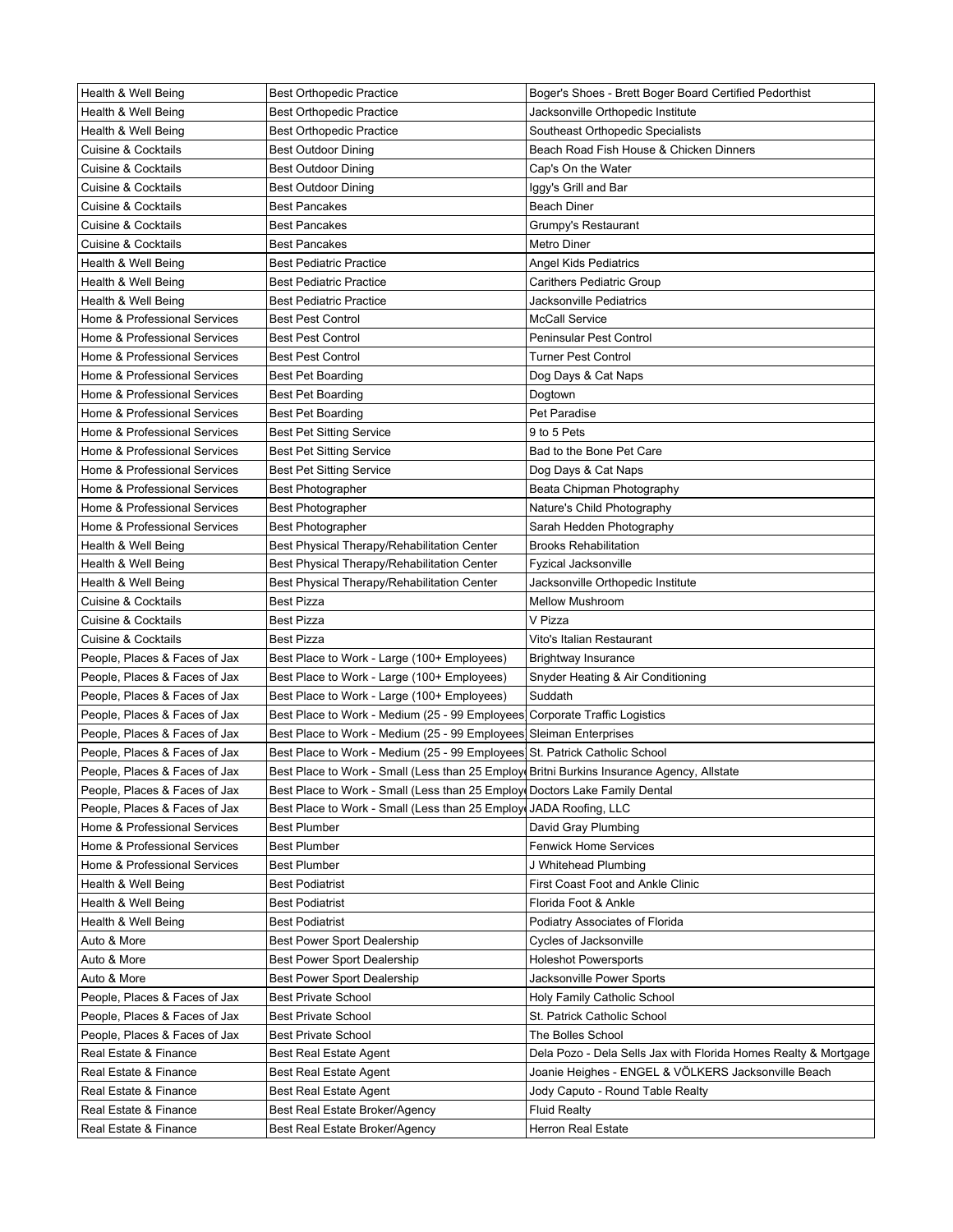| Health & Well Being           | <b>Best Orthopedic Practice</b>                                                           | Boger's Shoes - Brett Boger Board Certified Pedorthist          |
|-------------------------------|-------------------------------------------------------------------------------------------|-----------------------------------------------------------------|
| Health & Well Being           | <b>Best Orthopedic Practice</b>                                                           | Jacksonville Orthopedic Institute                               |
| Health & Well Being           | <b>Best Orthopedic Practice</b>                                                           | Southeast Orthopedic Specialists                                |
| Cuisine & Cocktails           | Best Outdoor Dining                                                                       | Beach Road Fish House & Chicken Dinners                         |
| Cuisine & Cocktails           | <b>Best Outdoor Dining</b>                                                                | Cap's On the Water                                              |
| Cuisine & Cocktails           | Best Outdoor Dining                                                                       | Iggy's Grill and Bar                                            |
| Cuisine & Cocktails           | Best Pancakes                                                                             | Beach Diner                                                     |
| Cuisine & Cocktails           | <b>Best Pancakes</b>                                                                      | Grumpy's Restaurant                                             |
| Cuisine & Cocktails           | <b>Best Pancakes</b>                                                                      | Metro Diner                                                     |
| Health & Well Being           | <b>Best Pediatric Practice</b>                                                            | Angel Kids Pediatrics                                           |
| Health & Well Being           | <b>Best Pediatric Practice</b>                                                            | Carithers Pediatric Group                                       |
| Health & Well Being           | <b>Best Pediatric Practice</b>                                                            | Jacksonville Pediatrics                                         |
| Home & Professional Services  | <b>Best Pest Control</b>                                                                  | <b>McCall Service</b>                                           |
| Home & Professional Services  | <b>Best Pest Control</b>                                                                  | Peninsular Pest Control                                         |
| Home & Professional Services  | <b>Best Pest Control</b>                                                                  | <b>Turner Pest Control</b>                                      |
| Home & Professional Services  | Best Pet Boarding                                                                         | Dog Days & Cat Naps                                             |
| Home & Professional Services  | Best Pet Boarding                                                                         | Dogtown                                                         |
| Home & Professional Services  | Best Pet Boarding                                                                         | Pet Paradise                                                    |
| Home & Professional Services  | <b>Best Pet Sitting Service</b>                                                           | 9 to 5 Pets                                                     |
| Home & Professional Services  | <b>Best Pet Sitting Service</b>                                                           | Bad to the Bone Pet Care                                        |
| Home & Professional Services  | <b>Best Pet Sitting Service</b>                                                           | Dog Days & Cat Naps                                             |
| Home & Professional Services  | Best Photographer                                                                         | Beata Chipman Photography                                       |
| Home & Professional Services  | <b>Best Photographer</b>                                                                  | Nature's Child Photography                                      |
| Home & Professional Services  | Best Photographer                                                                         | Sarah Hedden Photography                                        |
| Health & Well Being           | Best Physical Therapy/Rehabilitation Center                                               | <b>Brooks Rehabilitation</b>                                    |
| Health & Well Being           | Best Physical Therapy/Rehabilitation Center                                               | Fyzical Jacksonville                                            |
| Health & Well Being           | Best Physical Therapy/Rehabilitation Center                                               | Jacksonville Orthopedic Institute                               |
| Cuisine & Cocktails           | Best Pizza                                                                                | <b>Mellow Mushroom</b>                                          |
| Cuisine & Cocktails           | Best Pizza                                                                                | V Pizza                                                         |
| Cuisine & Cocktails           | Best Pizza                                                                                | Vito's Italian Restaurant                                       |
| People, Places & Faces of Jax | Best Place to Work - Large (100+ Employees)                                               | Brightway Insurance                                             |
| People, Places & Faces of Jax | Best Place to Work - Large (100+ Employees)                                               | Snyder Heating & Air Conditioning                               |
| People, Places & Faces of Jax | Best Place to Work - Large (100+ Employees)                                               | Suddath                                                         |
| People, Places & Faces of Jax | Best Place to Work - Medium (25 - 99 Employees] Corporate Traffic Logistics               |                                                                 |
| People, Places & Faces of Jax | Best Place to Work - Medium (25 - 99 Employees Sleiman Enterprises                        |                                                                 |
| People, Places & Faces of Jax | Best Place to Work - Medium (25 - 99 Employees St. Patrick Catholic School                |                                                                 |
| People, Places & Faces of Jax | Best Place to Work - Small (Less than 25 Employ Britni Burkins Insurance Agency, Allstate |                                                                 |
| People, Places & Faces of Jax | Best Place to Work - Small (Less than 25 Employ Doctors Lake Family Dental                |                                                                 |
| People, Places & Faces of Jax | Best Place to Work - Small (Less than 25 Employe JADA Roofing, LLC                        |                                                                 |
| Home & Professional Services  | <b>Best Plumber</b>                                                                       | David Gray Plumbing                                             |
| Home & Professional Services  | Best Plumber                                                                              | <b>Fenwick Home Services</b>                                    |
| Home & Professional Services  | Best Plumber                                                                              | J Whitehead Plumbing                                            |
| Health & Well Being           | <b>Best Podiatrist</b>                                                                    | First Coast Foot and Ankle Clinic                               |
| Health & Well Being           | <b>Best Podiatrist</b>                                                                    | Florida Foot & Ankle                                            |
| Health & Well Being           | <b>Best Podiatrist</b>                                                                    | Podiatry Associates of Florida                                  |
| Auto & More                   | <b>Best Power Sport Dealership</b>                                                        | <b>Cycles of Jacksonville</b>                                   |
| Auto & More                   | <b>Best Power Sport Dealership</b>                                                        | <b>Holeshot Powersports</b>                                     |
| Auto & More                   | <b>Best Power Sport Dealership</b>                                                        | Jacksonville Power Sports                                       |
| People, Places & Faces of Jax | <b>Best Private School</b>                                                                | Holy Family Catholic School                                     |
| People, Places & Faces of Jax |                                                                                           | St. Patrick Catholic School                                     |
|                               | Best Private School                                                                       |                                                                 |
| People, Places & Faces of Jax | Best Private School                                                                       | The Bolles School                                               |
| Real Estate & Finance         | Best Real Estate Agent                                                                    | Dela Pozo - Dela Sells Jax with Florida Homes Realty & Mortgage |
| Real Estate & Finance         | Best Real Estate Agent                                                                    | Joanie Heighes - ENGEL & VÖLKERS Jacksonville Beach             |
| Real Estate & Finance         | Best Real Estate Agent                                                                    | Jody Caputo - Round Table Realty                                |
| Real Estate & Finance         | Best Real Estate Broker/Agency                                                            | <b>Fluid Realty</b>                                             |
| Real Estate & Finance         | Best Real Estate Broker/Agency                                                            | <b>Herron Real Estate</b>                                       |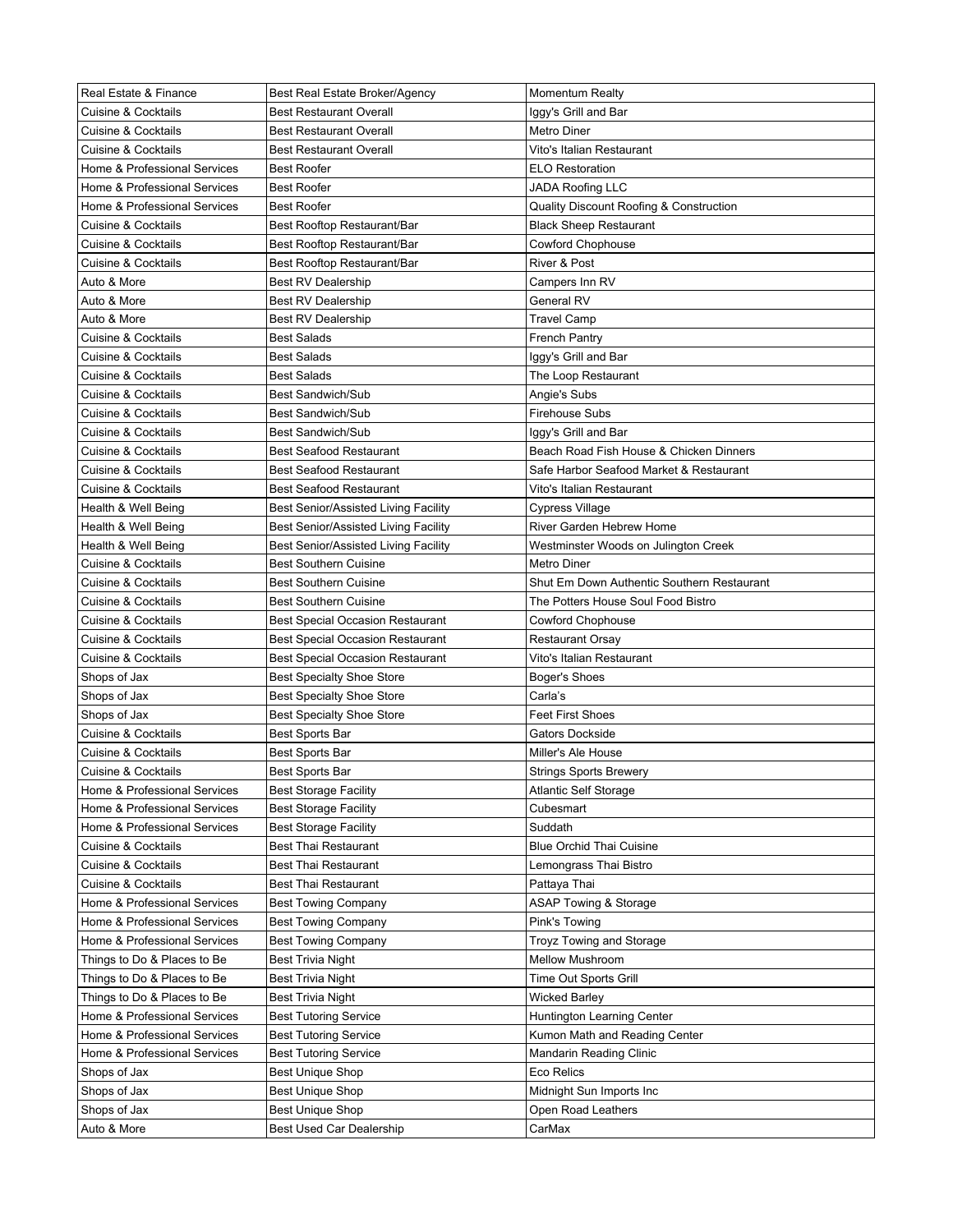| Real Estate & Finance                      | Best Real Estate Broker/Agency                                       | <b>Momentum Realty</b>                     |
|--------------------------------------------|----------------------------------------------------------------------|--------------------------------------------|
| <b>Cuisine &amp; Cocktails</b>             | <b>Best Restaurant Overall</b>                                       | lggy's Grill and Bar                       |
| Cuisine & Cocktails                        | <b>Best Restaurant Overall</b>                                       | Metro Diner                                |
| Cuisine & Cocktails                        | <b>Best Restaurant Overall</b>                                       | Vito's Italian Restaurant                  |
| Home & Professional Services               | <b>Best Roofer</b>                                                   | <b>ELO Restoration</b>                     |
| Home & Professional Services               | <b>Best Roofer</b>                                                   | JADA Roofing LLC                           |
| Home & Professional Services               | <b>Best Roofer</b>                                                   | Quality Discount Roofing & Construction    |
| Cuisine & Cocktails                        | Best Rooftop Restaurant/Bar                                          | <b>Black Sheep Restaurant</b>              |
| Cuisine & Cocktails                        | Best Rooftop Restaurant/Bar                                          | <b>Cowford Chophouse</b>                   |
| Cuisine & Cocktails                        | Best Rooftop Restaurant/Bar                                          | River & Post                               |
| Auto & More                                | <b>Best RV Dealership</b>                                            | Campers Inn RV                             |
| Auto & More                                | <b>Best RV Dealership</b>                                            | General RV                                 |
| Auto & More                                | <b>Best RV Dealership</b>                                            | Travel Camp                                |
| <b>Cuisine &amp; Cocktails</b>             | <b>Best Salads</b>                                                   | <b>French Pantry</b>                       |
| <b>Cuisine &amp; Cocktails</b>             | <b>Best Salads</b>                                                   | Iggy's Grill and Bar                       |
| <b>Cuisine &amp; Cocktails</b>             | <b>Best Salads</b>                                                   | The Loop Restaurant                        |
| <b>Cuisine &amp; Cocktails</b>             | <b>Best Sandwich/Sub</b>                                             | Angie's Subs                               |
| Cuisine & Cocktails                        | <b>Best Sandwich/Sub</b>                                             | <b>Firehouse Subs</b>                      |
| <b>Cuisine &amp; Cocktails</b>             | <b>Best Sandwich/Sub</b>                                             | Iggy's Grill and Bar                       |
| <b>Cuisine &amp; Cocktails</b>             | <b>Best Seafood Restaurant</b>                                       | Beach Road Fish House & Chicken Dinners    |
| <b>Cuisine &amp; Cocktails</b>             | <b>Best Seafood Restaurant</b>                                       | Safe Harbor Seafood Market & Restaurant    |
| <b>Cuisine &amp; Cocktails</b>             | <b>Best Seafood Restaurant</b>                                       | Vito's Italian Restaurant                  |
| Health & Well Being                        | Best Senior/Assisted Living Facility                                 | Cypress Village                            |
|                                            |                                                                      | River Garden Hebrew Home                   |
| Health & Well Being<br>Health & Well Being | Best Senior/Assisted Living Facility                                 | Westminster Woods on Julington Creek       |
| <b>Cuisine &amp; Cocktails</b>             | Best Senior/Assisted Living Facility<br><b>Best Southern Cuisine</b> | Metro Diner                                |
|                                            |                                                                      | Shut Em Down Authentic Southern Restaurant |
| Cuisine & Cocktails                        | <b>Best Southern Cuisine</b>                                         |                                            |
| Cuisine & Cocktails                        | <b>Best Southern Cuisine</b>                                         | The Potters House Soul Food Bistro         |
| Cuisine & Cocktails                        | <b>Best Special Occasion Restaurant</b>                              | Cowford Chophouse                          |
| Cuisine & Cocktails                        | <b>Best Special Occasion Restaurant</b>                              | Restaurant Orsay                           |
| Cuisine & Cocktails<br>Shops of Jax        | <b>Best Special Occasion Restaurant</b>                              | Vito's Italian Restaurant                  |
| Shops of Jax                               | <b>Best Specialty Shoe Store</b><br><b>Best Specialty Shoe Store</b> | Boger's Shoes<br>Carla's                   |
| Shops of Jax                               | <b>Best Specialty Shoe Store</b>                                     | <b>Feet First Shoes</b>                    |
| Cuisine & Cocktails                        |                                                                      | Gators Dockside                            |
|                                            | Best Sports Bar                                                      | Miller's Ale House                         |
| Cuisine & Cocktails                        | Best Sports Bar                                                      |                                            |
| Cuisine & Cocktails                        | Best Sports Bar                                                      | <b>Strings Sports Brewery</b>              |
| Home & Professional Services               | <b>Best Storage Facility</b>                                         | <b>Atlantic Self Storage</b>               |
| Home & Professional Services               | <b>Best Storage Facility</b>                                         | Cubesmart<br>Suddath                       |
| Home & Professional Services               | <b>Best Storage Facility</b>                                         |                                            |
| Cuisine & Cocktails                        | <b>Best Thai Restaurant</b>                                          | <b>Blue Orchid Thai Cuisine</b>            |
| Cuisine & Cocktails                        | <b>Best Thai Restaurant</b>                                          | Lemongrass Thai Bistro                     |
| <b>Cuisine &amp; Cocktails</b>             | <b>Best Thai Restaurant</b>                                          | Pattaya Thai                               |
| Home & Professional Services               | <b>Best Towing Company</b>                                           | <b>ASAP Towing &amp; Storage</b>           |
| Home & Professional Services               | <b>Best Towing Company</b>                                           | Pink's Towing                              |
| Home & Professional Services               | <b>Best Towing Company</b>                                           | Troyz Towing and Storage                   |
| Things to Do & Places to Be                | <b>Best Trivia Night</b>                                             | Mellow Mushroom                            |
| Things to Do & Places to Be                | <b>Best Trivia Night</b>                                             | Time Out Sports Grill                      |
| Things to Do & Places to Be                | <b>Best Trivia Night</b>                                             | Wicked Barley                              |
| Home & Professional Services               | <b>Best Tutoring Service</b>                                         | Huntington Learning Center                 |
| Home & Professional Services               | <b>Best Tutoring Service</b>                                         | Kumon Math and Reading Center              |
| Home & Professional Services               | <b>Best Tutoring Service</b>                                         | Mandarin Reading Clinic                    |
| Shops of Jax                               | <b>Best Unique Shop</b>                                              | Eco Relics                                 |
| Shops of Jax                               | <b>Best Unique Shop</b>                                              | Midnight Sun Imports Inc                   |
| Shops of Jax                               | <b>Best Unique Shop</b>                                              | Open Road Leathers                         |
| Auto & More                                | Best Used Car Dealership                                             | CarMax                                     |